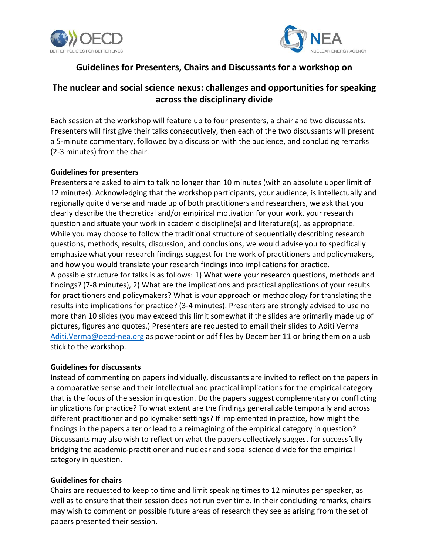



# **Guidelines for Presenters, Chairs and Discussants for a workshop on**

# **The nuclear and social science nexus: challenges and opportunities for speaking across the disciplinary divide**

Each session at the workshop will feature up to four presenters, a chair and two discussants. Presenters will first give their talks consecutively, then each of the two discussants will present a 5-minute commentary, followed by a discussion with the audience, and concluding remarks (2-3 minutes) from the chair.

### **Guidelines for presenters**

Presenters are asked to aim to talk no longer than 10 minutes (with an absolute upper limit of 12 minutes). Acknowledging that the workshop participants, your audience, is intellectually and regionally quite diverse and made up of both practitioners and researchers, we ask that you clearly describe the theoretical and/or empirical motivation for your work, your research question and situate your work in academic discipline(s) and literature(s), as appropriate. While you may choose to follow the traditional structure of sequentially describing research questions, methods, results, discussion, and conclusions, we would advise you to specifically emphasize what your research findings suggest for the work of practitioners and policymakers, and how you would translate your research findings into implications for practice. A possible structure for talks is as follows: 1) What were your research questions, methods and findings? (7-8 minutes), 2) What are the implications and practical applications of your results for practitioners and policymakers? What is your approach or methodology for translating the results into implications for practice? (3-4 minutes). Presenters are strongly advised to use no more than 10 slides (you may exceed this limit somewhat if the slides are primarily made up of pictures, figures and quotes.) Presenters are requested to email their slides to Aditi Verma [Aditi.Verma@oecd-nea.org](mailto:Aditi.Verma@oecd-nea.org) as powerpoint or pdf files by December 11 or bring them on a usb stick to the workshop.

### **Guidelines for discussants**

Instead of commenting on papers individually, discussants are invited to reflect on the papers in a comparative sense and their intellectual and practical implications for the empirical category that is the focus of the session in question. Do the papers suggest complementary or conflicting implications for practice? To what extent are the findings generalizable temporally and across different practitioner and policymaker settings? If implemented in practice, how might the findings in the papers alter or lead to a reimagining of the empirical category in question? Discussants may also wish to reflect on what the papers collectively suggest for successfully bridging the academic-practitioner and nuclear and social science divide for the empirical category in question.

### **Guidelines for chairs**

Chairs are requested to keep to time and limit speaking times to 12 minutes per speaker, as well as to ensure that their session does not run over time. In their concluding remarks, chairs may wish to comment on possible future areas of research they see as arising from the set of papers presented their session.